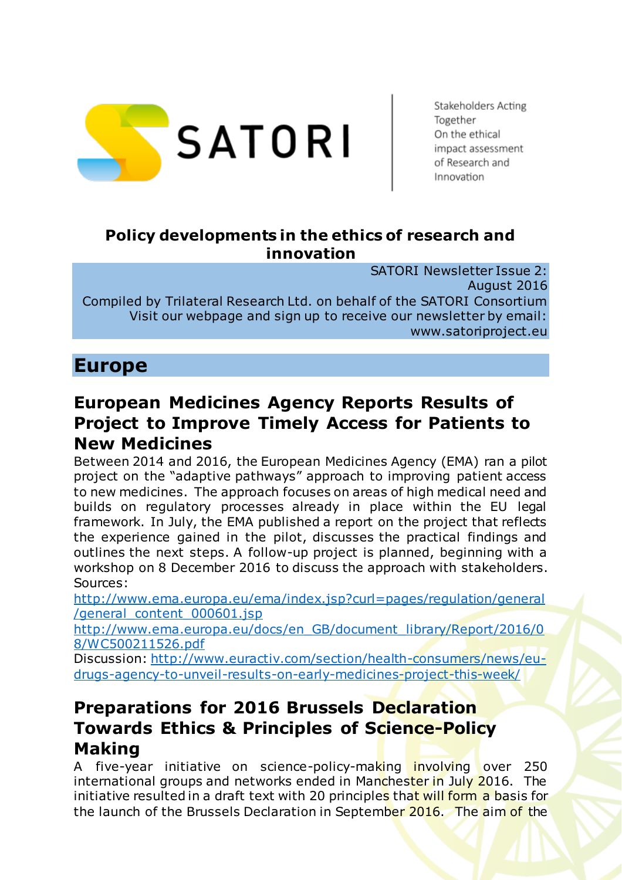

Stakeholders Acting Together On the ethical impact assessment of Research and Innovation

#### **Policy developments in the ethics of research and innovation**

SATORI Newsletter Issue 2: August 2016 Compiled by Trilateral Research Ltd. on behalf of the SATORI Consortium Visit our webpage and sign up to receive our newsletter by email: www.satoriproject.eu

### **Europe**

#### **European Medicines Agency Reports Results of Project to Improve Timely Access for Patients to New Medicines**

Between 2014 and 2016, the European Medicines Agency (EMA) ran a pilot project on the "adaptive pathways" approach to improving patient access to new medicines. The approach focuses on areas of high medical need and builds on regulatory processes already in place within the EU legal framework. In July, the EMA published a report on the project that reflects the experience gained in the pilot, discusses the practical findings and outlines the next steps. A follow-up project is planned, beginning with a workshop on 8 December 2016 to discuss the approach with stakeholders. Sources:

[http://www.ema.europa.eu/ema/index.jsp?curl=pages/regulation/general](http://www.ema.europa.eu/ema/index.jsp?curl=pages/regulation/general/general_content_000601.jsp) [/general\\_content\\_000601.jsp](http://www.ema.europa.eu/ema/index.jsp?curl=pages/regulation/general/general_content_000601.jsp)

[http://www.ema.europa.eu/docs/en\\_GB/document\\_library/Report/2016/0](http://www.ema.europa.eu/docs/en_GB/document_library/Report/2016/08/WC500211526.pdf) [8/WC500211526.pdf](http://www.ema.europa.eu/docs/en_GB/document_library/Report/2016/08/WC500211526.pdf)

Discussion: [http://www.euractiv.com/section/health-consumers/news/eu](http://www.euractiv.com/section/health-consumers/news/eu-drugs-agency-to-unveil-results-on-early-medicines-project-this-week/)[drugs-agency-to-unveil-results-on-early-medicines-project-this-week/](http://www.euractiv.com/section/health-consumers/news/eu-drugs-agency-to-unveil-results-on-early-medicines-project-this-week/)

#### **Preparations for 2016 Brussels Declaration Towards Ethics & Principles of Science-Policy Making**

A five-year initiative on science-policy-making involving over 250 international groups and networks ended in Manchester in July 2016. The initiative resulted in a draft text with 20 principles that will form a basis for the launch of the Brussels Declaration in September 2016. The aim of the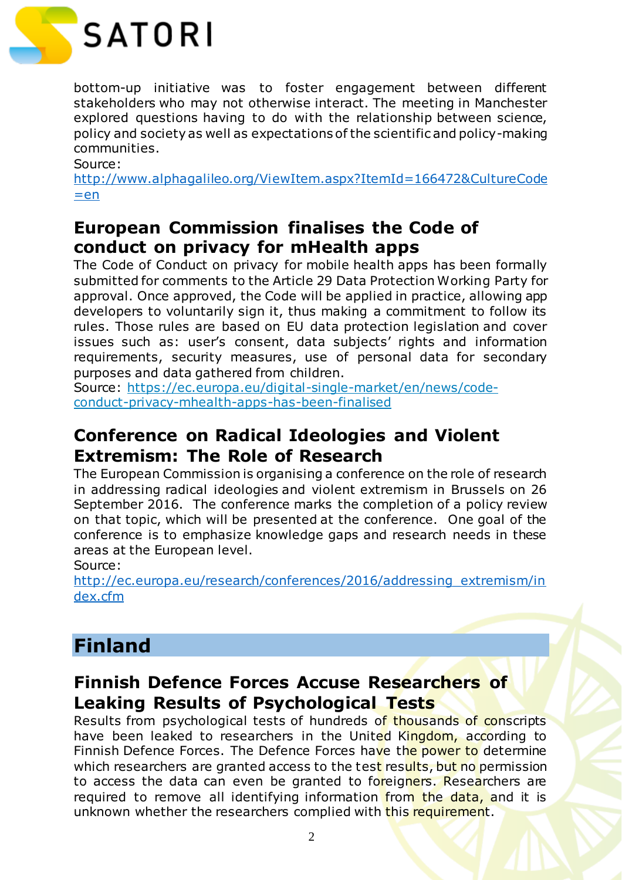

bottom-up initiative was to foster engagement between different stakeholders who may not otherwise interact. The meeting in Manchester explored questions having to do with the relationship between science, policy and society as well as expectations of the scientific and policy-making communities.

Source:

[http://www.alphagalileo.org/ViewItem.aspx?ItemId=166472&CultureCode](http://www.alphagalileo.org/ViewItem.aspx?ItemId=166472&CultureCode=en)  $=en$ 

#### **European Commission finalises the Code of conduct on privacy for mHealth apps**

The Code of Conduct on privacy for mobile health apps has been formally submitted for comments to the Article 29 Data Protection Working Party for approval. Once approved, the Code will be applied in practice, allowing app developers to voluntarily sign it, thus making a commitment to follow its rules. Those rules are based on EU data protection legislation and cover issues such as: user's consent, data subjects' rights and information requirements, security measures, use of personal data for secondary purposes and data gathered from children.

Source: [https://ec.europa.eu/digital-single-market/en/news/code](https://ec.europa.eu/digital-single-market/en/news/code-conduct-privacy-mhealth-apps-has-been-finalised)[conduct-privacy-mhealth-apps-has-been-finalised](https://ec.europa.eu/digital-single-market/en/news/code-conduct-privacy-mhealth-apps-has-been-finalised)

#### **Conference on Radical Ideologies and Violent Extremism: The Role of Research**

The European Commission is organising a conference on the role of research in addressing radical ideologies and violent extremism in Brussels on 26 September 2016. The conference marks the completion of a policy review on that topic, which will be presented at the conference. One goal of the conference is to emphasize knowledge gaps and research needs in these areas at the European level.

#### Source:

[http://ec.europa.eu/research/conferences/2016/addressing\\_extremism/in](http://ec.europa.eu/research/conferences/2016/addressing_extremism/index.cfm) [dex.cfm](http://ec.europa.eu/research/conferences/2016/addressing_extremism/index.cfm)

# **Finland**

#### **Finnish Defence Forces Accuse Researchers of Leaking Results of Psychological Tests**

Results from psychological tests of hundreds of thousands of conscripts have been leaked to researchers in the United Kingdom, according to Finnish Defence Forces. The Defence Forces have the power to determine which researchers are granted access to the test results, but no permission to access the data can even be granted to foreigners. Researchers are required to remove all identifying information from the data, and it is unknown whether the researchers complied with this requirement.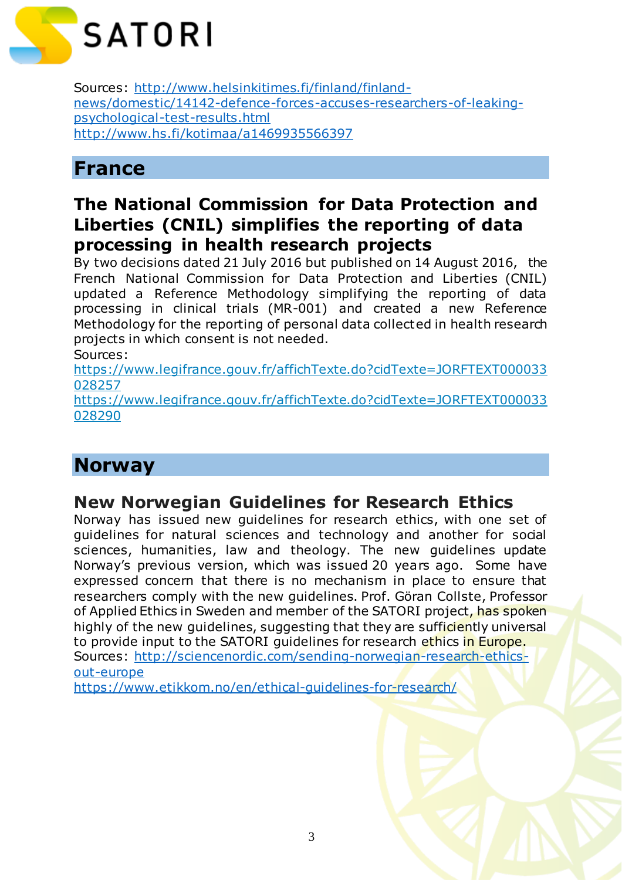

Sources: [http://www.helsinkitimes.fi/finland/finland](http://www.helsinkitimes.fi/finland/finland-news/domestic/14142-defence-forces-accuses-researchers-of-leaking-psychological-test-results.html)[news/domestic/14142-defence-forces-accuses-researchers-of-leaking](http://www.helsinkitimes.fi/finland/finland-news/domestic/14142-defence-forces-accuses-researchers-of-leaking-psychological-test-results.html)[psychological-test-results.html](http://www.helsinkitimes.fi/finland/finland-news/domestic/14142-defence-forces-accuses-researchers-of-leaking-psychological-test-results.html) <http://www.hs.fi/kotimaa/a1469935566397>

# **France**

#### **The National Commission for Data Protection and Liberties (CNIL) simplifies the reporting of data processing in health research projects**

By two decisions dated 21 July 2016 but published on 14 August 2016, the French National Commission for Data Protection and Liberties (CNIL) updated a Reference Methodology simplifying the reporting of data processing in clinical trials (MR-001) and created a new Reference Methodology for the reporting of personal data collected in health research projects in which consent is not needed.

Sources:

[https://www.legifrance.gouv.fr/affichTexte.do?cidTexte=JORFTEXT000033](https://www.legifrance.gouv.fr/affichTexte.do?cidTexte=JORFTEXT000033028257) [028257](https://www.legifrance.gouv.fr/affichTexte.do?cidTexte=JORFTEXT000033028257)

[https://www.legifrance.gouv.fr/affichTexte.do?cidTexte=JORFTEXT000033](https://www.legifrance.gouv.fr/affichTexte.do?cidTexte=JORFTEXT000033028290) [028290](https://www.legifrance.gouv.fr/affichTexte.do?cidTexte=JORFTEXT000033028290)

# **Norway**

#### **New Norwegian Guidelines for Research Ethics**

Norway has issued new guidelines for research ethics, with one set of guidelines for natural sciences and technology and another for social sciences, humanities, law and theology. The new guidelines update Norway's previous version, which was issued 20 years ago. Some have expressed concern that there is no mechanism in place to ensure that researchers comply with the new guidelines. Prof. Göran Collste, Professor of Applied Ethics in Sweden and member of the SATORI project, has spoken highly of the new guidelines, suggesting that they are sufficiently universal to provide input to the SATORI guidelines for research ethics in Europe. Sources: [http://sciencenordic.com/sending-norwegian-research-ethics](http://sciencenordic.com/sending-norwegian-research-ethics-out-europe)[out-europe](http://sciencenordic.com/sending-norwegian-research-ethics-out-europe)

https://www.etikkom.no/en/ethical-guidelines-for-research/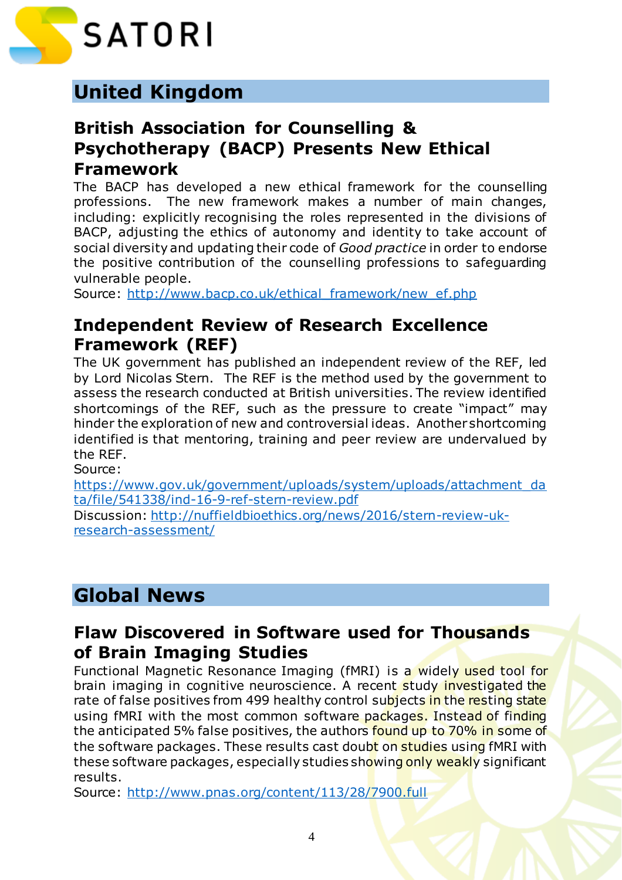

# **United Kingdom**

#### **British Association for Counselling & Psychotherapy (BACP) Presents New Ethical Framework**

The BACP has developed a new ethical framework for the counselling professions. The new framework makes a number of main changes, including: explicitly recognising the roles represented in the divisions of BACP, adjusting the ethics of autonomy and identity to take account of social diversity and updating their code of *Good practice* in order to endorse the positive contribution of the counselling professions to safeguarding vulnerable people.

Source: http://www.bacp.co.uk/ethical framework/new ef.php

#### **Independent Review of Research Excellence Framework (REF)**

The UK government has published an independent review of the REF, led by Lord Nicolas Stern. The REF is the method used by the government to assess the research conducted at British universities. The review identified shortcomings of the REF, such as the pressure to create "impact" may hinder the exploration of new and controversial ideas. Another shortcoming identified is that mentoring, training and peer review are undervalued by the REF.

Source:

[https://www.gov.uk/government/uploads/system/uploads/attachment\\_da](https://www.gov.uk/government/uploads/system/uploads/attachment_data/file/541338/ind-16-9-ref-stern-review.pdf) [ta/file/541338/ind-16-9-ref-stern-review.pdf](https://www.gov.uk/government/uploads/system/uploads/attachment_data/file/541338/ind-16-9-ref-stern-review.pdf)

Discussion: [http://nuffieldbioethics.org/news/2016/stern-review-uk](http://nuffieldbioethics.org/news/2016/stern-review-uk-research-assessment/)[research-assessment/](http://nuffieldbioethics.org/news/2016/stern-review-uk-research-assessment/)

# **Global News**

#### **Flaw Discovered in Software used for Thousands of Brain Imaging Studies**

Functional Magnetic Resonance Imaging (fMRI) is a widely used tool for brain imaging in cognitive neuroscience. A recent study investigated the rate of false positives from 499 healthy control subjects in the resting state using fMRI with the most common software packages. Instead of finding the anticipated 5% false positives, the authors found up to 70% in some of the software packages. These results cast doubt on studies using fMRI with these software packages, especially studies showing only weakly significant results.

Source:<http://www.pnas.org/content/113/28/7900.full>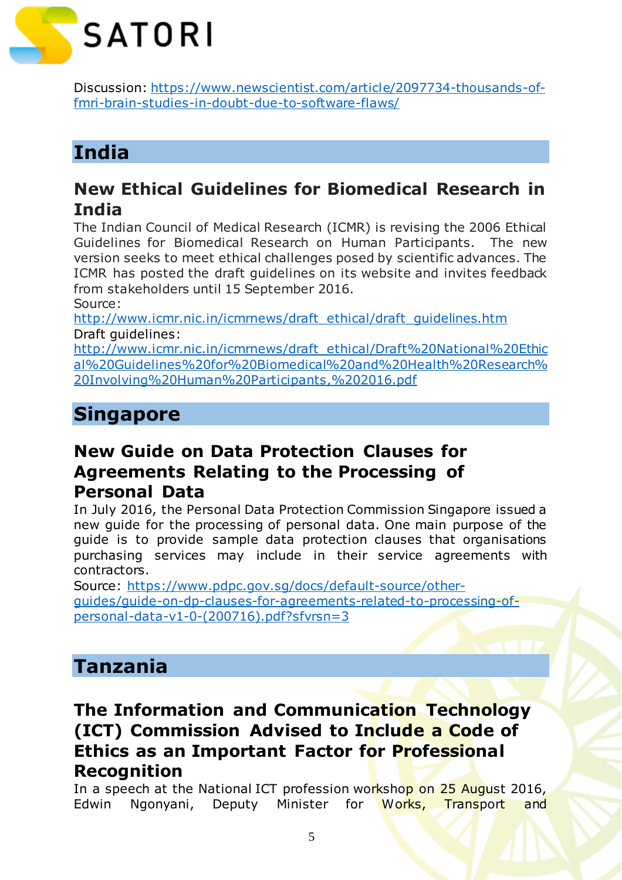

Discussion: [https://www.newscientist.com/article/2097734-thousands-of](https://www.newscientist.com/article/2097734-thousands-of-fmri-brain-studies-in-doubt-due-to-software-flaws/)[fmri-brain-studies-in-doubt-due-to-software-flaws/](https://www.newscientist.com/article/2097734-thousands-of-fmri-brain-studies-in-doubt-due-to-software-flaws/)

# **India**

#### **New Ethical Guidelines for Biomedical Research in India**

The Indian Council of Medical Research (ICMR) is revising the 2006 Ethical Guidelines for Biomedical Research on Human Participants. The new version seeks to meet ethical challenges posed by scientific advances. The ICMR has posted the draft guidelines on its website and invites feedback from stakeholders until 15 September 2016.

Source:

[http://www.icmr.nic.in/icmrnews/draft\\_ethical/draft\\_guidelines.htm](http://www.icmr.nic.in/icmrnews/draft_ethical/draft_guidelines.htm) Draft guidelines:

[http://www.icmr.nic.in/icmrnews/draft\\_ethical/Draft%20National%20Ethic](http://www.icmr.nic.in/icmrnews/draft_ethical/Draft%20National%20Ethical%20Guidelines%20for%20Biomedical%20and%20Health%20Research%20Involving%20Human%20Participants,%202016.pdf) [al%20Guidelines%20for%20Biomedical%20and%20Health%20Research%](http://www.icmr.nic.in/icmrnews/draft_ethical/Draft%20National%20Ethical%20Guidelines%20for%20Biomedical%20and%20Health%20Research%20Involving%20Human%20Participants,%202016.pdf) [20Involving%20Human%20Participants,%202016.pdf](http://www.icmr.nic.in/icmrnews/draft_ethical/Draft%20National%20Ethical%20Guidelines%20for%20Biomedical%20and%20Health%20Research%20Involving%20Human%20Participants,%202016.pdf)

# **Singapore**

### **New Guide on Data Protection Clauses for Agreements Relating to the Processing of Personal Data**

In July 2016, the Personal Data Protection Commission Singapore issued a new guide for the processing of personal data. One main purpose of the guide is to provide sample data protection clauses that organisations purchasing services may include in their service agreements with contractors.

Source: [https://www.pdpc.gov.sg/docs/default-source/other](https://www.pdpc.gov.sg/docs/default-source/other-guides/guide-on-dp-clauses-for-agreements-related-to-processing-of-personal-data-v1-0-(200716).pdf?sfvrsn=3)[guides/guide-on-dp-clauses-for-agreements-related-to-processing-of](https://www.pdpc.gov.sg/docs/default-source/other-guides/guide-on-dp-clauses-for-agreements-related-to-processing-of-personal-data-v1-0-(200716).pdf?sfvrsn=3)[personal-data-v1-0-\(200716\).pdf?sfvrsn=3](https://www.pdpc.gov.sg/docs/default-source/other-guides/guide-on-dp-clauses-for-agreements-related-to-processing-of-personal-data-v1-0-(200716).pdf?sfvrsn=3)

## **Tanzania**

#### **The Information and Communication Technology (ICT) Commission Advised to Include a Code of Ethics as an Important Factor for Professional Recognition**

In a speech at the National ICT profession workshop on 25 August 2016, Edwin Ngonyani, Deputy Minister for Works, Transport and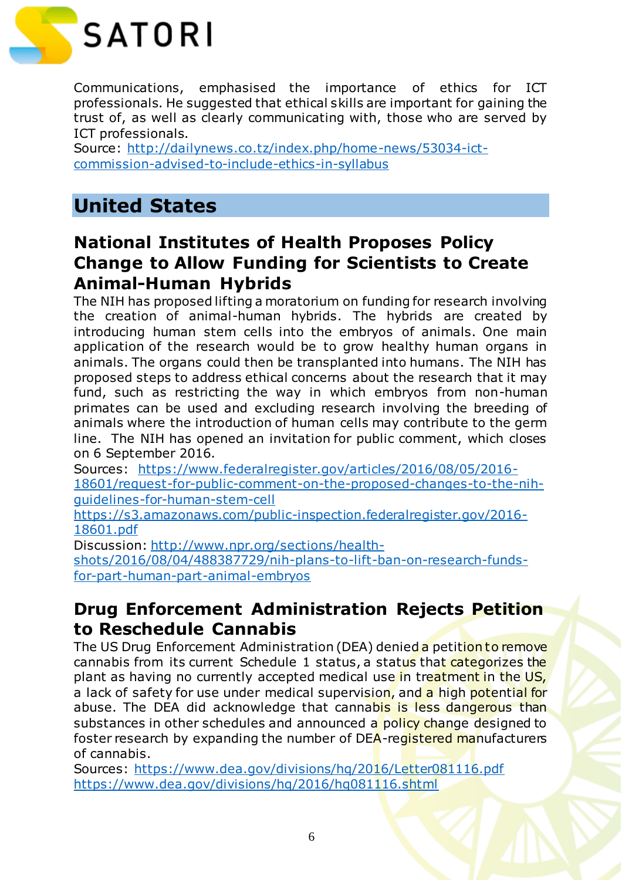

Communications, emphasised the importance of ethics for ICT professionals. He suggested that ethical skills are important for gaining the trust of, as well as clearly communicating with, those who are served by ICT professionals.

Source: [http://dailynews.co.tz/index.php/home-news/53034-ict](http://dailynews.co.tz/index.php/home-news/53034-ict-commission-advised-to-include-ethics-in-syllabus)[commission-advised-to-include-ethics-in-syllabus](http://dailynews.co.tz/index.php/home-news/53034-ict-commission-advised-to-include-ethics-in-syllabus)

# **United States**

#### **National Institutes of Health Proposes Policy Change to Allow Funding for Scientists to Create Animal-Human Hybrids**

The NIH has proposed lifting a moratorium on funding for research involving the creation of animal-human hybrids. The hybrids are created by introducing human stem cells into the embryos of animals. One main application of the research would be to grow healthy human organs in animals. The organs could then be transplanted into humans. The NIH has proposed steps to address ethical concerns about the research that it may fund, such as restricting the way in which embryos from non-human primates can be used and excluding research involving the breeding of animals where the introduction of human cells may contribute to the germ line. The NIH has opened an invitation for public comment, which closes on 6 September 2016.

Sources: [https://www.federalregister.gov/articles/2016/08/05/2016-](https://www.federalregister.gov/articles/2016/08/05/2016-18601/request-for-public-comment-on-the-proposed-changes-to-the-nih-guidelines-for-human-stem-cell) [18601/request-for-public-comment-on-the-proposed-changes-to-the-nih](https://www.federalregister.gov/articles/2016/08/05/2016-18601/request-for-public-comment-on-the-proposed-changes-to-the-nih-guidelines-for-human-stem-cell)[guidelines-for-human-stem-cell](https://www.federalregister.gov/articles/2016/08/05/2016-18601/request-for-public-comment-on-the-proposed-changes-to-the-nih-guidelines-for-human-stem-cell)

[https://s3.amazonaws.com/public-inspection.federalregister.gov/2016-](https://s3.amazonaws.com/public-inspection.federalregister.gov/2016-18601.pdf) [18601.pdf](https://s3.amazonaws.com/public-inspection.federalregister.gov/2016-18601.pdf)

Discussion: [http://www.npr.org/sections/health](http://www.npr.org/sections/health-shots/2016/08/04/488387729/nih-plans-to-lift-ban-on-research-funds-for-part-human-part-animal-embryos)[shots/2016/08/04/488387729/nih-plans-to-lift-ban-on-research-funds](http://www.npr.org/sections/health-shots/2016/08/04/488387729/nih-plans-to-lift-ban-on-research-funds-for-part-human-part-animal-embryos)[for-part-human-part-animal-embryos](http://www.npr.org/sections/health-shots/2016/08/04/488387729/nih-plans-to-lift-ban-on-research-funds-for-part-human-part-animal-embryos)

#### **Drug Enforcement Administration Rejects Petition to Reschedule Cannabis**

The US Drug Enforcement Administration (DEA) denied a petition to remove cannabis from its current Schedule 1 status, a status that categorizes the plant as having no currently accepted medical use in treatment in the US, a lack of safety for use under medical supervision, and a high potential for abuse. The DEA did acknowledge that cannabis is less dangerous than substances in other schedules and announced a policy change designed to foster research by expanding the number of DEA-registered manufacturers of cannabis.

Sources:<https://www.dea.gov/divisions/hq/2016/Letter081116.pdf> <https://www.dea.gov/divisions/hq/2016/hq081116.shtml>